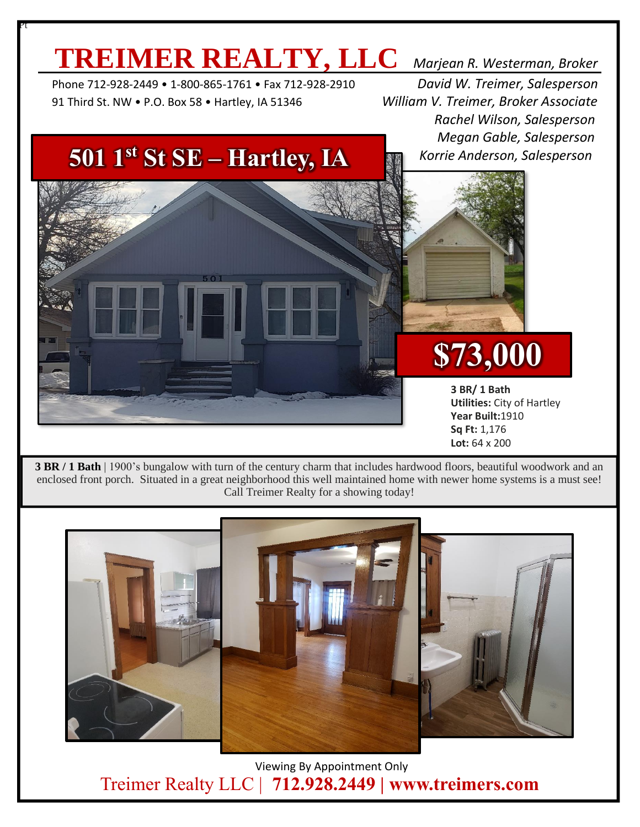### **TREIMER REALTY, LLC** *Marjean R. Westerman, Broker*

 Phone 712-928-2449 • 1-800-865-1761 • Fax 712-928-2910 *David W. Treimer, Salesperson* 91 Third St. NW • P.O. Box 58 • Hartley, IA 51346 *William V. Treimer, Broker Associate*

Pt

 *Rachel Wilson, Salesperson Megan Gable, Salesperson Korrie Anderson, Salesperson*

#### **501 1st St SE – Hartley, IA**



**\$73,000**

**3 BR/ 1 Bath Utilities:** City of Hartley **Year Built:**1910 **Sq Ft:** 1,176 **Lot:** 64 x 200

**3 BR / 1 Bath** | 1900's bungalow with turn of the century charm that includes hardwood floors, beautiful woodwork and an enclosed front porch. Situated in a great neighborhood this well maintained home with newer home systems is a must see! Call Treimer Realty for a showing today!



 Viewing By Appointment Only Treimer Realty LLC | **712.928.2449 | www.treimers.com**